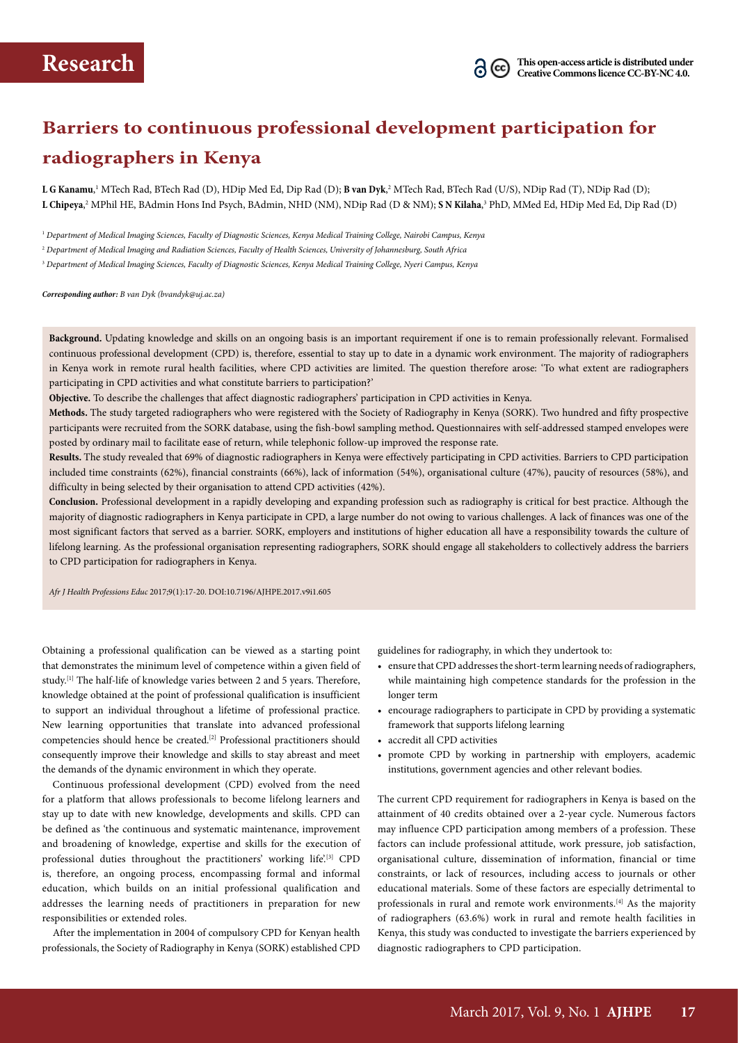# **Barriers to continuous professional development participation for radiographers in Kenya**

 ${\bf L}$  **G Kanamu**,' MTech Rad, BTech Rad (D), HDip Med Ed, Dip Rad (D); **B van Dyk**,<sup>2</sup> MTech Rad, BTech Rad (U/S), NDip Rad (T), NDip Rad (D); **L Chipeya**,<sup>2</sup> MPhil HE, BAdmin Hons Ind Psych, BAdmin, NHD (NM), NDip Rad (D & NM); **S N Kilaha**,<sup>3</sup> PhD, MMed Ed, HDip Med Ed, Dip Rad (D)

1  *Department of Medical Imaging Sciences, Faculty of Diagnostic Sciences, Kenya Medical Training College, Nairobi Campus, Kenya*

2  *Department of Medical Imaging and Radiation Sciences, Faculty of Health Sciences, University of Johannesburg, South Africa*

3  *Department of Medical Imaging Sciences, Faculty of Diagnostic Sciences, Kenya Medical Training College, Nyeri Campus, Kenya*

*Corresponding author: B van Dyk (bvandyk@uj.ac.za)*

**Background.** Updating knowledge and skills on an ongoing basis is an important requirement if one is to remain professionally relevant. Formalised continuous professional development (CPD) is, therefore, essential to stay up to date in a dynamic work environment. The majority of radiographers in Kenya work in remote rural health facilities, where CPD activities are limited. The question therefore arose: 'To what extent are radiographers participating in CPD activities and what constitute barriers to participation?'

**Objective.** To describe the challenges that affect diagnostic radiographers' participation in CPD activities in Kenya.

**Methods.** The study targeted radiographers who were registered with the Society of Radiography in Kenya (SORK). Two hundred and fifty prospective participants were recruited from the SORK database, using the fish-bowl sampling method**.** Questionnaires with self-addressed stamped envelopes were posted by ordinary mail to facilitate ease of return, while telephonic follow-up improved the response rate.

**Results.** The study revealed that 69% of diagnostic radiographers in Kenya were effectively participating in CPD activities. Barriers to CPD participation included time constraints (62%), financial constraints (66%), lack of information (54%), organisational culture (47%), paucity of resources (58%), and difficulty in being selected by their organisation to attend CPD activities (42%).

**Conclusion.** Professional development in a rapidly developing and expanding profession such as radiography is critical for best practice. Although the majority of diagnostic radiographers in Kenya participate in CPD, a large number do not owing to various challenges. A lack of finances was one of the most significant factors that served as a barrier. SORK, employers and institutions of higher education all have a responsibility towards the culture of lifelong learning. As the professional organisation representing radiographers, SORK should engage all stakeholders to collectively address the barriers to CPD participation for radiographers in Kenya.

*Afr J Health Professions Educ* 2017;9(1):17-20. DOI:10.7196/AJHPE.2017.v9i1.605

Obtaining a professional qualification can be viewed as a starting point that demonstrates the minimum level of competence within a given field of study.[1] The half-life of knowledge varies between 2 and 5 years. Therefore, knowledge obtained at the point of professional qualification is insufficient to support an individual throughout a lifetime of professional practice. New learning opportunities that translate into advanced professional competencies should hence be created.[2] Professional practitioners should consequently improve their knowledge and skills to stay abreast and meet the demands of the dynamic environment in which they operate.

Continuous professional development (CPD) evolved from the need for a platform that allows professionals to become lifelong learners and stay up to date with new knowledge, developments and skills. CPD can be defined as 'the continuous and systematic maintenance, improvement and broadening of knowledge, expertise and skills for the execution of professional duties throughout the practitioners' working life'.<sup>[3]</sup> CPD is, therefore, an ongoing process, encompassing formal and informal education, which builds on an initial professional qualification and addresses the learning needs of practitioners in preparation for new responsibilities or extended roles.

After the implementation in 2004 of compulsory CPD for Kenyan health professionals, the Society of Radiography in Kenya (SORK) established CPD guidelines for radiography, in which they undertook to:

- ensure that CPD addresses the short-term learning needs of radiographers, while maintaining high competence standards for the profession in the longer term
- encourage radiographers to participate in CPD by providing a systematic framework that supports lifelong learning
- accredit all CPD activities
- promote CPD by working in partnership with employers, academic institutions, government agencies and other relevant bodies.

The current CPD requirement for radiographers in Kenya is based on the attainment of 40 credits obtained over a 2-year cycle. Numerous factors may influence CPD participation among members of a profession. These factors can include professional attitude, work pressure, job satisfaction, organisational culture, dissemination of information, financial or time constraints, or lack of resources, including access to journals or other educational materials. Some of these factors are especially detrimental to professionals in rural and remote work environments.<sup>[4]</sup> As the majority of radiographers (63.6%) work in rural and remote health facilities in Kenya, this study was conducted to investigate the barriers experienced by diagnostic radiographers to CPD participation.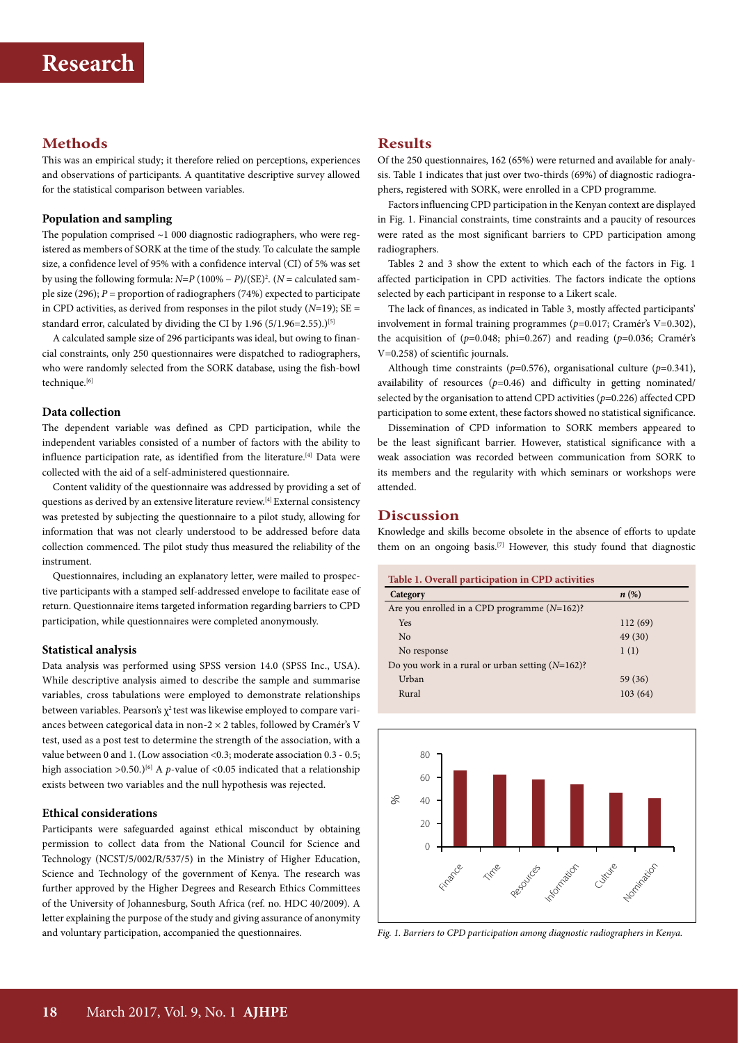# **Methods**

This was an empirical study; it therefore relied on perceptions, experiences and observations of participants. A quantitative descriptive survey allowed for the statistical comparison between variables.

## **Population and sampling**

The population comprised ~1 000 diagnostic radiographers, who were registered as members of SORK at the time of the study. To calculate the sample size, a confidence level of 95% with a confidence interval (CI) of 5% was set by using the following formula: *N*=*P* (100% − *P*)/(SE)2 . (*N* = calculated sample size (296); *P* = proportion of radiographers (74%) expected to participate in CPD activities, as derived from responses in the pilot study (*N*=19); SE = standard error, calculated by dividing the CI by  $1.96 (5/1.96=2.55)$ .)<sup>[5]</sup>

A calculated sample size of 296 participants was ideal, but owing to financial constraints, only 250 questionnaires were dispatched to radiographers, who were randomly selected from the SORK database, using the fish-bowl technique.<sup>[6]</sup>

#### **Data collection**

The dependent variable was defined as CPD participation, while the independent variables consisted of a number of factors with the ability to influence participation rate, as identified from the literature.<sup>[4]</sup> Data were collected with the aid of a self-administered questionnaire.

Content validity of the questionnaire was addressed by providing a set of questions as derived by an extensive literature review.[4] External consistency was pretested by subjecting the questionnaire to a pilot study, allowing for information that was not clearly understood to be addressed before data collection commenced. The pilot study thus measured the reliability of the instrument.

Questionnaires, including an explanatory letter, were mailed to prospective participants with a stamped self-addressed envelope to facilitate ease of return. Questionnaire items targeted information regarding barriers to CPD participation, while questionnaires were completed anonymously.

#### **Statistical analysis**

Data analysis was performed using SPSS version 14.0 (SPSS Inc., USA). While descriptive analysis aimed to describe the sample and summarise variables, cross tabulations were employed to demonstrate relationships between variables. Pearson's  $\chi^2$  test was likewise employed to compare variances between categorical data in non-2 × 2 tables, followed by Cramér's V test, used as a post test to determine the strength of the association, with a value between 0 and 1. (Low association <0.3; moderate association 0.3 - 0.5; high association  $>0.50$ .)<sup>[6]</sup> A *p*-value of <0.05 indicated that a relationship exists between two variables and the null hypothesis was rejected.

#### **Ethical considerations**

Participants were safeguarded against ethical misconduct by obtaining permission to collect data from the National Council for Science and Technology (NCST/5/002/R/537/5) in the Ministry of Higher Education, Science and Technology of the government of Kenya. The research was further approved by the Higher Degrees and Research Ethics Committees of the University of Johannesburg, South Africa (ref. no. HDC 40/2009). A letter explaining the purpose of the study and giving assurance of anonymity and voluntary participation, accompanied the questionnaires.

# **Results**

Of the 250 questionnaires, 162 (65%) were returned and available for analysis. Table 1 indicates that just over two-thirds (69%) of diagnostic radiographers, registered with SORK, were enrolled in a CPD programme.

Factors influencing CPD participation in the Kenyan context are displayed in Fig. 1. Financial constraints, time constraints and a paucity of resources were rated as the most significant barriers to CPD participation among radiographers.

Tables 2 and 3 show the extent to which each of the factors in Fig. 1 affected participation in CPD activities. The factors indicate the options selected by each participant in response to a Likert scale.

The lack of finances, as indicated in Table 3, mostly affected participants' involvement in formal training programmes (*p*=0.017; Cramér's V=0.302), the acquisition of (*p*=0.048; phi=0.267) and reading (*p*=0.036; Cramér's V=0.258) of scientific journals.

Although time constraints (*p*=0.576), organisational culture (*p*=0.341), availability of resources (*p*=0.46) and difficulty in getting nominated/ selected by the organisation to attend CPD activities (*p*=0.226) affected CPD participation to some extent, these factors showed no statistical significance.

Dissemination of CPD information to SORK members appeared to be the least significant barrier. However, statistical significance with a weak association was recorded between communication from SORK to its members and the regularity with which seminars or workshops were attended.

# **Discussion**

Knowledge and skills become obsolete in the absence of efforts to update them on an ongoing basis.<sup>[7]</sup> However, this study found that diagnostic

| Table 1. Overall participation in CPD activities    |                    |  |  |  |
|-----------------------------------------------------|--------------------|--|--|--|
| Category                                            | $n\left(\%\right)$ |  |  |  |
| Are you enrolled in a CPD programme $(N=162)$ ?     |                    |  |  |  |
| <b>Yes</b>                                          | 112(69)            |  |  |  |
| No                                                  | 49 (30)            |  |  |  |
| No response                                         | 1(1)               |  |  |  |
| Do you work in a rural or urban setting $(N=162)$ ? |                    |  |  |  |
| Urban                                               | 59 (36)            |  |  |  |
| Rural                                               | 103(64)            |  |  |  |



*Fig. 1. Barriers to CPD participation among diagnostic radiographers in Kenya.*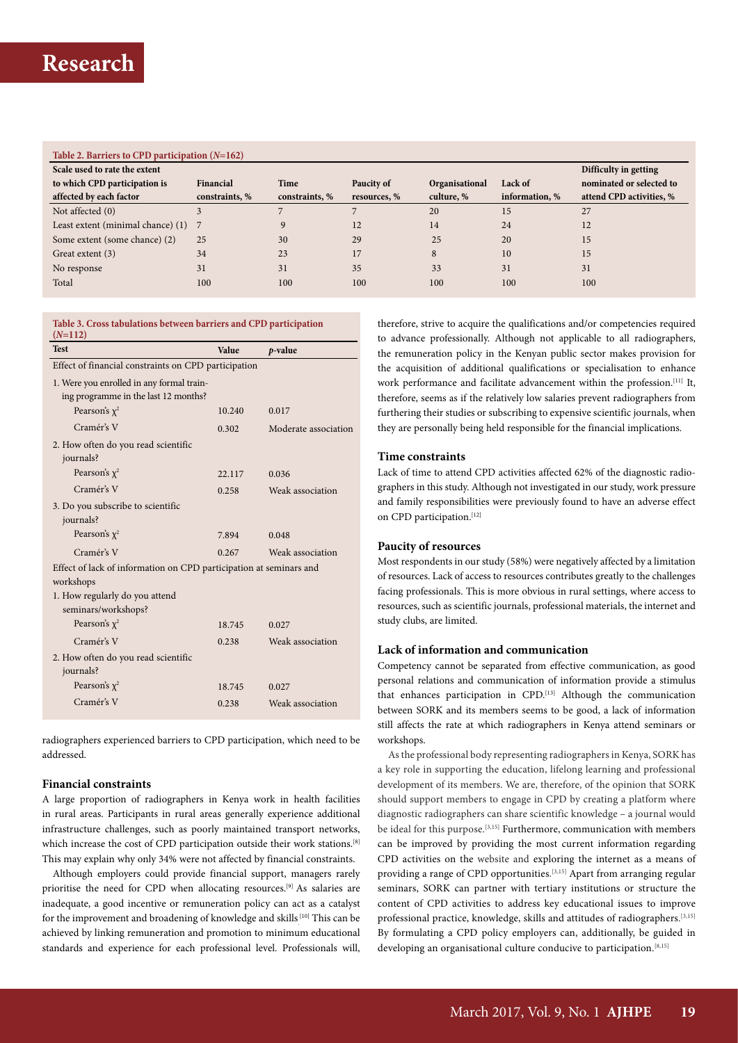## **Table 2. Barriers to CPD participation (***N***=162)**

| Scale used to rate the extent     |                |                |              |                       |                | Difficulty in getting    |
|-----------------------------------|----------------|----------------|--------------|-----------------------|----------------|--------------------------|
| to which CPD participation is     | Financial      | Time           | Paucity of   | <b>Organisational</b> | Lack of        | nominated or selected to |
| affected by each factor           | constraints, % | constraints, % | resources, % | culture, %            | information, % | attend CPD activities, % |
| Not affected $(0)$                |                |                |              | 20                    | 15             | 27                       |
| Least extent (minimal chance) (1) |                | $\Omega$       | 12           | 14                    | 24             | 12                       |
| Some extent (some chance) (2)     | 25             | 30             | 29           | 25                    | 20             | 15                       |
| Great extent (3)                  | 34             | 23             | 17           | 8                     | 10             | 15                       |
| No response                       | 31             | 31             | 35           | 33                    | 31             | 31                       |
| Total                             | 100            | 100            | 100          | 100                   | 100            | 100                      |

| $(N=112)$                                                          |        |                      |  |  |  |  |  |
|--------------------------------------------------------------------|--------|----------------------|--|--|--|--|--|
| <b>Test</b>                                                        | Value  | $p$ -value           |  |  |  |  |  |
| Effect of financial constraints on CPD participation               |        |                      |  |  |  |  |  |
| 1. Were you enrolled in any formal train-                          |        |                      |  |  |  |  |  |
| ing programme in the last 12 months?                               |        |                      |  |  |  |  |  |
| Pearson's $\chi^2$                                                 | 10.240 | 0.017                |  |  |  |  |  |
| Cramér's V                                                         | 0.302  | Moderate association |  |  |  |  |  |
| 2. How often do you read scientific                                |        |                      |  |  |  |  |  |
| journals?                                                          |        |                      |  |  |  |  |  |
| Pearson's $\chi^2$                                                 | 22.117 | 0.036                |  |  |  |  |  |
| Cramér's V                                                         | 0.258  | Weak association     |  |  |  |  |  |
| 3. Do you subscribe to scientific                                  |        |                      |  |  |  |  |  |
| journals?                                                          |        |                      |  |  |  |  |  |
| Pearson's $\chi^2$                                                 | 7.894  | 0.048                |  |  |  |  |  |
| Cramér's V                                                         | 0.267  | Weak association     |  |  |  |  |  |
| Effect of lack of information on CPD participation at seminars and |        |                      |  |  |  |  |  |
| workshops                                                          |        |                      |  |  |  |  |  |
| 1. How regularly do you attend                                     |        |                      |  |  |  |  |  |
| seminars/workshops?                                                |        |                      |  |  |  |  |  |
| Pearson's $\chi^2$                                                 | 18.745 | 0.027                |  |  |  |  |  |
| Cramér's V                                                         | 0.238  | Weak association     |  |  |  |  |  |
| 2. How often do you read scientific                                |        |                      |  |  |  |  |  |
| journals?                                                          |        |                      |  |  |  |  |  |
| Pearson's $\chi^2$                                                 | 18.745 | 0.027                |  |  |  |  |  |
| Cramér's V                                                         | 0.238  | Weak association     |  |  |  |  |  |
|                                                                    |        |                      |  |  |  |  |  |

**Table 3. Cross tabulations between barriers and CPD participation** 

radiographers experienced barriers to CPD participation, which need to be addressed.

## **Financial constraints**

A large proportion of radiographers in Kenya work in health facilities in rural areas. Participants in rural areas generally experience additional infrastructure challenges, such as poorly maintained transport networks, which increase the cost of CPD participation outside their work stations.<sup>[8]</sup> This may explain why only 34% were not affected by financial constraints.

Although employers could provide financial support, managers rarely prioritise the need for CPD when allocating resources.[9] As salaries are inadequate, a good incentive or remuneration policy can act as a catalyst for the improvement and broadening of knowledge and skills<sup>[10]</sup> This can be achieved by linking remuneration and promotion to minimum educational standards and experience for each professional level. Professionals will,

therefore, strive to acquire the qualifications and/or competencies required to advance professionally. Although not applicable to all radiographers, the remuneration policy in the Kenyan public sector makes provision for the acquisition of additional qualifications or specialisation to enhance work performance and facilitate advancement within the profession.<sup>[11]</sup> It, therefore, seems as if the relatively low salaries prevent radiographers from furthering their studies or subscribing to expensive scientific journals, when they are personally being held responsible for the financial implications.

## **Time constraints**

Lack of time to attend CPD activities affected 62% of the diagnostic radiographers in this study. Although not investigated in our study, work pressure and family responsibilities were previously found to have an adverse effect on CPD participation.<sup>[12]</sup>

#### **Paucity of resources**

Most respondents in our study (58%) were negatively affected by a limitation of resources. Lack of access to resources contributes greatly to the challenges facing professionals. This is more obvious in rural settings, where access to resources, such as scientific journals, professional materials, the internet and study clubs, are limited.

## **Lack of information and communication**

Competency cannot be separated from effective communication, as good personal relations and communication of information provide a stimulus that enhances participation in CPD.[13] Although the communication between SORK and its members seems to be good, a lack of information still affects the rate at which radiographers in Kenya attend seminars or workshops.

As the professional body representing radiographers in Kenya, SORK has a key role in supporting the education, lifelong learning and professional development of its members. We are, therefore, of the opinion that SORK should support members to engage in CPD by creating a platform where diagnostic radiographers can share scientific knowledge – a journal would be ideal for this purpose.[3,15] Furthermore, communication with members can be improved by providing the most current information regarding CPD activities on the website and exploring the internet as a means of providing a range of CPD opportunities.<sup>[3,15]</sup> Apart from arranging regular seminars, SORK can partner with tertiary institutions or structure the content of CPD activities to address key educational issues to improve professional practice, knowledge, skills and attitudes of radiographers.<sup>[3,15]</sup> By formulating a CPD policy employers can, additionally, be guided in developing an organisational culture conducive to participation.<sup>[8,15]</sup>